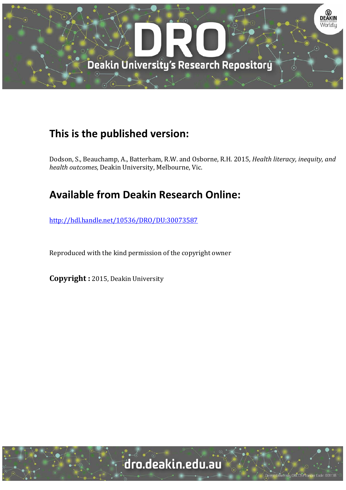

# **This is the published version:**

Dodson, S., Beauchamp, A., Batterham, R.W. and Osborne, R.H. 2015*, Health literacy, inequity, and health outcomes*, Deakin University, Melbourne, Vic.

# **Available from Deakin Research Online:**

http://hdl.handle.net/10536/DRO/DU:30073587

Reproduced with the kind permission of the copyright owner

**Copyright** : 2015, Deakin University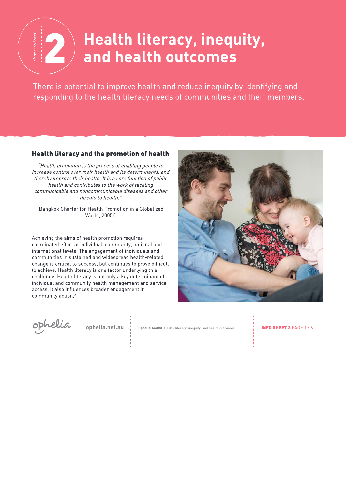# Health literacy, inequity,  $\begin{picture}(130,10) \put(0,0){\line(1,0){10}} \put(15,0){\line(1,0){10}} \put(15,0){\line(1,0){10}} \put(15,0){\line(1,0){10}} \put(15,0){\line(1,0){10}} \put(15,0){\line(1,0){10}} \put(15,0){\line(1,0){10}} \put(15,0){\line(1,0){10}} \put(15,0){\line(1,0){10}} \put(15,0){\line(1,0){10}} \put(15,0){\line(1,0){10}} \put(15,0){\line($ and health outcomes

There is potential to improve health and reduce inequity by identifying and responding to the health literacy needs of communities and their members.

#### **Health literacy and the promotion of health**

"Health promotion is the process of enabling people to increase control over their health and its determinants, and thereby improve their health. It is a core function of public health and contributes to the work of tackling communicable and noncommunicable diseases and other threats to health.'

(Bangkok Charter for Health Promotion in a Globalized World, 2005)<sup>1</sup>

Achieving the aims of health promotion requires coordinated effort at individual, community, national and international levels. The engagement of individuals and communities in sustained and widespread health-related change is critical to success, but continues to prove difficult to achieve. Health literacy is one factor underlying this challenge. Health literacy is not only a key determinant of individual and community health management and service access, it also influences broader engagement in community action.<sup>2</sup>



ophelia

ophelia.net.au

Ophelia Toolkit Health literacy, inequity, and health outcomes

**INFO SHEET 2 PAGE 1/6**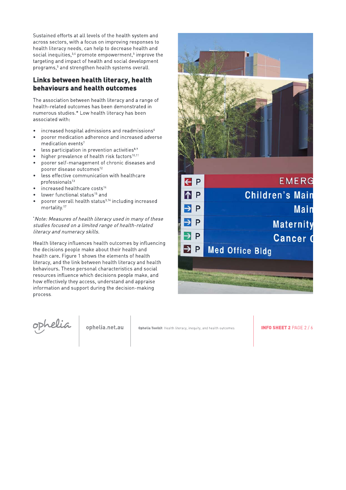Sustained efforts at all levels of the health system and across sectors, with a focus on improving responses to health literacy needs, can help to decrease health and social inequities,<sup>3,4</sup> promote empowerment,<sup>5</sup> improve the targeting and impact of health and social development programs,<sup>5</sup> and strengthen health systems overall.

## Links between health literacy, health behaviours and health outcomes

The association between health literacy and a range of health-related outcomes has been demonstrated in numerous studies.\* Low health literacy has been associated with:

- increased hospital admissions and readmissions<sup>6</sup>
- $\bullet$ poorer medication adherence and increased adverse medication events<sup>7</sup>
- less participation in prevention activities<sup>8.9</sup>  $\bullet$
- higher prevalence of health risk factors<sup>10,11</sup>
- poorer self-management of chronic diseases and  $\bullet$ poorer disease outcomes<sup>12</sup>
- less effective communication with healthcare professionals<sup>13</sup>
- increased healthcare costs<sup>14</sup>
- lower functional status<sup>15</sup> and
- poorer overall health status<sup>3,16</sup> including increased mortality.<sup>17</sup>

\*Note: Measures of health literacy used in many of these studies focused on a limited range of health-related literacy and numeracy skills.

Health literacy influences health outcomes by influencing the decisions people make about their health and health care. Figure 1 shows the elements of health literacy, and the link between health literacy and health behaviours. These personal characteristics and social resources influence which decisions people make, and how effectively they access, understand and appraise information and support during the decision-making process.



ophelia

ophelia.net.au

Ophelia Toolkit Health literacy, inequity, and health outcomes

**INFO SHEET 2 PAGE 2/6**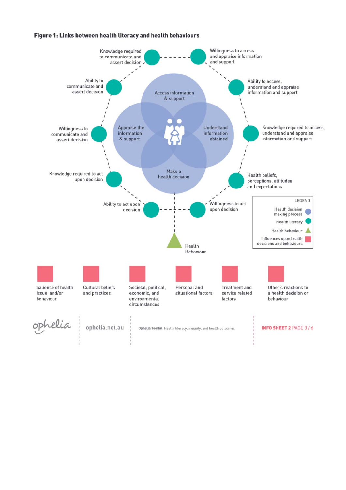#### Figure 1: Links between health literacy and health behaviours

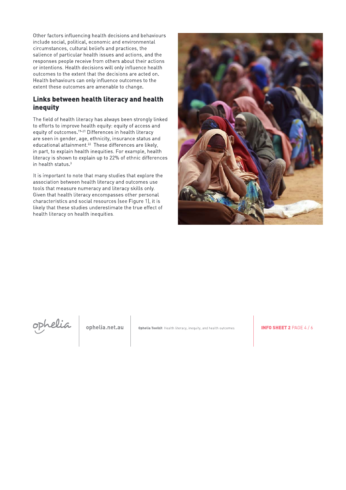Other factors influencing health decisions and behaviours include social, political, economic and environmental circumstances, cultural beliefs and practices, the salience of particular health issues and actions, and the responses people receive from others about their actions or intentions. Health decisions will only influence health outcomes to the extent that the decisions are acted on. Health behaviours can only influence outcomes to the extent these outcomes are amenable to change.

### Links between health literacy and health inequity

The field of health literacy has always been strongly linked to efforts to improve health equity: equity of access and equity of outcomes <sup>19-21</sup> Differences in health literacy are seen in gender, age, ethnicity, insurance status and educational attainment.<sup>22</sup> These differences are likely, in part, to explain health inequities. For example, health literacy is shown to explain up to 22% of ethnic differences in health status.<sup>3</sup>

It is important to note that many studies that explore the association between health literacy and outcomes use tools that measure numeracy and literacy skills only. Given that health literacy encompasses other personal characteristics and social resources (see Figure 1), it is likely that these studies underestimate the true effect of health literacy on health inequities.





ophelia.net.au

Ophelia Toolkit Health literacy, inequity, and health outcomes

**INFO SHEET 2 PAGE 4/6**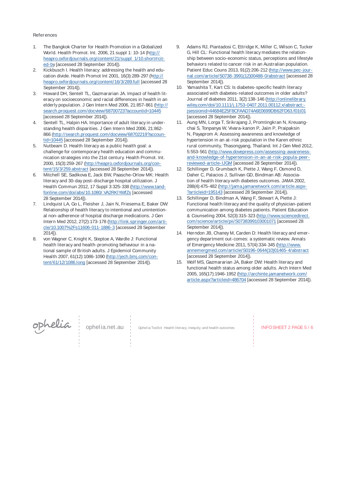#### **References**

- 1. The Bangkok Charter for Health Promotion in a Globalized World. Health Promot. Int. 2006, 21 suppl 1: 10-14 (http:// heapro.oxfordjournals.org/content/21/suppl\_1/10.short#cited-by [accessed 28 September 2014]).
- 2. Kickbusch I. Health literacy: addressing the health and education divide. Health Promot Int 2001, 16(3):289-297 (http:// heapro.oxfordjournals.org/content/16/3/289.full [accessed 28 September 2014]).
- 3. Howard DH, Sentell TL, Gazmararian JA. Impact of health literacy on socioeconomic and racial differences in health in an elderly population. J Gen Intern Med 2006, 21:857-861 (http:// search.proquest.com/docview/68700723?accountid=10445 [accessed 28 September 2014]).
- 4. Sentell TL, Halpin HA. Importance of adult literacy in understanding health disparities. J Gen Intern Med 2006, 21:862- 866 (http://search.proquest.com/docview/68702219?accountid=10445 [accessed 28 September 2014]).
- 5. Nutbeam D. Health literacy as a public health goal: a challenge for contemporary health education and communication strategies into the 21st century. Health Promot. Int. 2000, 15(3):259-267 (http://heapro.oxfordjournals.org/content/15/3/259.abstract [accessed 28 September 2014]).
- 6. Mitchell SE, Sadikova E, Jack BW, Paasche-Orlow MK: Health literacy and 30-day post-discharge hospital utilization. J Health Commun 2012, 17 Suppl 3:325-338 (http://www.tandfonline.com/doi/abs/10.1080/.VA2RKlYWfZs [accessed 28 September 2014]).
- 7. Lindquist LA, Go L, Fleisher J, Jain N, Friesema E, Baker DW: Relationship of health literacy to intentional and unintentional non-adherence of hospital discharge medications. J Gen Intern Med 2012, 27(2):173-178 (http://link.springer.com/article/10.1007%2Fs11606-011-1886-3 [accessed 28 September 2014]).
- 8. von Wagner C, Knight K, Steptoe A, Wardle J: Functional health literacy and health-promoting behaviour in a national sample of British adults. J Epidemiol Community Health 2007, 61(12):1086-1090 (http://jech.bmj.com/content/61/12/1086.long [accessed 28 September 2014]).
- 9. Adams RJ, Piantadosi C, Ettridge K, Miller C, Wilson C, Tucker G, Hill CL: Functional health literacy mediates the relationship between socio-economic status, perceptions and lifestyle behaviors related to cancer risk in an Australian population. Patient Educ Couns 2013, 91(2):206-212 (http://www.pec-journal.com/article/S0738-3991(12)00488-0/abstract [accessed 28 September 2014]).
- 10. Yamashita T, Kart CS: Is diabetes-specific health literacy associated with diabetes-related outcomes in older adults? Journal of diabetes 2011, 3(2):138-146 (http://onlinelibrary. wiley.com/doi/10.1111/j.1753-0407.2011.00112.x/abstract;jsessionid=44684E25F8CFAAD74A6E0699DB62FD63.f01t01 [accessed 28 September 2014]).
- 11. Aung MN, Lorga T, Srikrajang J, Promtingkran N, Kreuangchai S, Tonpanya W, Vivara-kanon P, Jaiin P, Praipaksin N, Payaprom A: Assessing awareness and knowledge of hypertension in an at-risk population in the Karen ethnic rural community, Thasongyang, Thailand. Int J Gen Med 2012, 5:553-561 (http://www.dovepress.com/assessing-awarenessand-knowledge-of-hypertension-in-an-at-risk-popula-peerreviewed-article-IJGM [accessed 28 September 2014]).
- 12. Schillinger D, Grumbach K, Piette J, Wang F, Osmond D, Daher C, Palacios J, Sullivan GD, Bindman AB: Association of health literacy with diabetes outcomes. JAMA 2002, 288(4):475-482 (http://jama.jamanetwork.com/article.aspx- ?articleid=195143 [accessed 28 September 2014]).
- 13. Schillinger D, Bindman A, Wang F, Stewart A, Piette J: Functional health literacy and the quality of physician-patient communication among diabetes patients. Patient Education & Counseling 2004, 52(3):315-323 (http://www.sciencedirect. com/science/article/pii/S0738399103001071 [accessed 28 September 2014]).
- 14. Herndon JB, Chaney M, Carden D: Health literacy and emergency department out-comes: a systematic review. Annals of Emergency Medicine 2011, 57(4):334-345 (http://www. annemergmed.com/article/S0196-0644(10)01465-4/abstract [accessed 28 September 2014]).
- 15. Wolf MS, Gazmararian JA, Baker DW: Health literacy and functional health status among older adults. Arch Intern Med 2005, 165(17):1946-1952 (http://archinte.jamanetwork.com/ article.aspx?articleid=486704 [accessed 28 September 2014]).



Ophelia.net.au | Ophelia Toolkit Health literacy, inequity, and health outcomes | INFO SHEET 2 PAGE 5 / 6